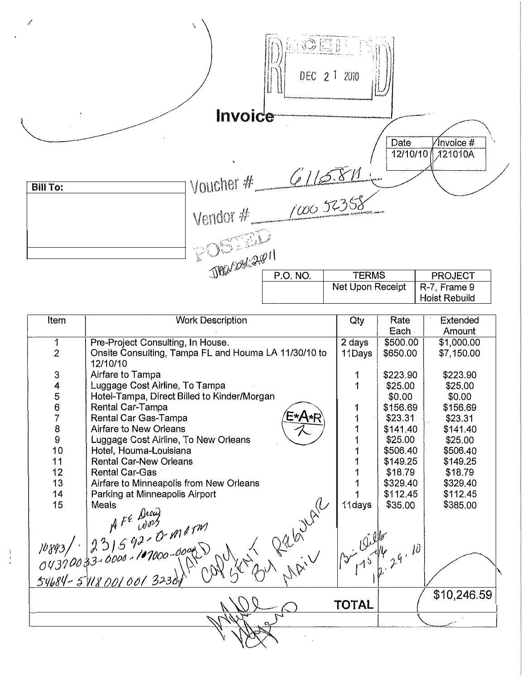ł **IGET** DEC 2 1 2010 Invoice  $\widetilde{\mathbb{C}}$  $\sqrt{\mathsf{invoice}}$ # Date  $12/10/10$  $721010A$ Voucher #  $616381$ <br>Vendor #  $700052358$ **Bill To:** Vendor # E JAMOREAN P.O. NO. **TERMS PROJECT** Net Upon Receipt R-7, Frame 9

**Hoist Rebuild** 

| Item                                  | <b>Work Description</b>                                    | Qty          | Rate<br>Each                                                                  | Extended<br>Amount |
|---------------------------------------|------------------------------------------------------------|--------------|-------------------------------------------------------------------------------|--------------------|
| $\mathbf{1}$                          | Pre-Project Consulting, In House.                          | 2 days       | \$500.00                                                                      | \$1,000.00         |
| $\overline{2}$                        | Onsite Consulting, Tampa FL and Houma LA 11/30/10 to       | 11Days       | \$650.00                                                                      | \$7,150.00         |
|                                       | 12/10/10                                                   |              |                                                                               |                    |
|                                       | Airfare to Tampa                                           |              | \$223.90                                                                      | \$223.90           |
| 34567                                 | Luggage Cost Airline, To Tampa                             |              | \$25,00                                                                       | \$25,00            |
|                                       | Hotel-Tampa, Direct Billed to Kinder/Morgan                |              | \$0.00                                                                        | \$0.00             |
|                                       | Rental Car-Tampa                                           | 1            | \$156,69                                                                      | \$156.69           |
|                                       | Rental Car Gas-Tampa                                       | 1            | \$23.31                                                                       | \$23.31            |
| $\begin{array}{c} 8 \\ 9 \end{array}$ | Airfare to New Orleans                                     |              | \$141.40                                                                      | \$141.40           |
|                                       | Luggage Cost Airline, To New Orleans                       |              | \$25.00                                                                       | \$25.00            |
| 10                                    | Hotel, Houma-Louisiana                                     |              | \$506.40                                                                      | \$506,40           |
| 11                                    | <b>Rental Car-New Orleans</b>                              |              | \$149.25                                                                      | \$149.25           |
| 12                                    | Rental Car-Gas                                             |              | \$18.79                                                                       | \$18.79            |
| 13                                    | Airfare to Minneapolis from New Orleans                    |              | \$329,40                                                                      | \$329.40           |
| 14                                    | Parking at Minneapolis Airport                             |              | \$112.45                                                                      | \$112.45           |
| 15                                    | Meals                                                      | 11days       | \$35.00                                                                       | \$385.00           |
|                                       |                                                            |              |                                                                               |                    |
|                                       |                                                            |              |                                                                               |                    |
|                                       |                                                            |              |                                                                               |                    |
|                                       |                                                            |              |                                                                               |                    |
|                                       |                                                            |              | $\int_0^{\infty} \frac{\sqrt{2}}{3} \int_0^{\sqrt{2}} \frac{1}{2} 9 \cdot 10$ |                    |
|                                       |                                                            |              |                                                                               |                    |
|                                       | $10893 / 231592.0000 -000000$<br>04370033-0000-101000-0000 |              |                                                                               |                    |
|                                       | in application plain                                       |              |                                                                               | \$10,246.59        |
|                                       |                                                            | <b>TOTAL</b> |                                                                               |                    |
|                                       |                                                            |              |                                                                               |                    |
|                                       |                                                            |              |                                                                               |                    |
|                                       |                                                            |              |                                                                               |                    |

 $\frac{1}{3}$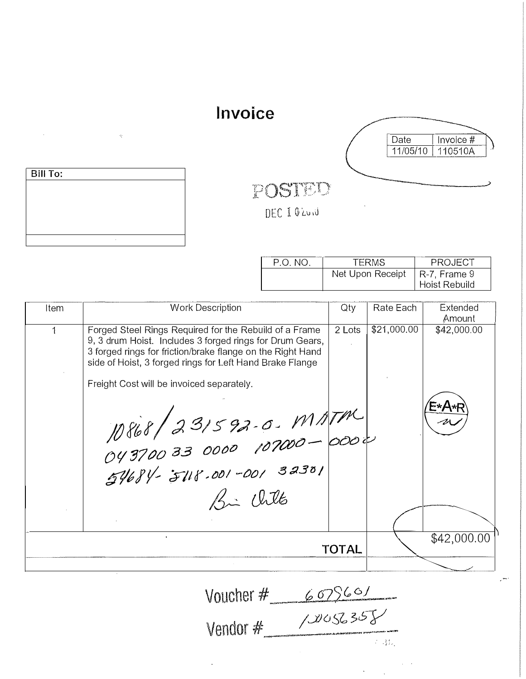## Invoice



 $\dot{\gamma}$ 

 $\sim$ 

## POSTED

DEC I Q'EUNI

| P.O. NO. | <b>TFRMS</b>     | PROJECT                                      |
|----------|------------------|----------------------------------------------|
|          | Net Upon Receipt | $\vert$ R-7, Frame 9<br><b>Hoist Rebuild</b> |

| Item | <b>Work Description</b>                                                                                                                                                                                                                                                                                                      | Qty          | Rate Each   | Extended<br>Amount   |
|------|------------------------------------------------------------------------------------------------------------------------------------------------------------------------------------------------------------------------------------------------------------------------------------------------------------------------------|--------------|-------------|----------------------|
| 1    | Forged Steel Rings Required for the Rebuild of a Frame<br>9, 3 drum Hoist. Includes 3 forged rings for Drum Gears,<br>3 forged rings for friction/brake flange on the Right Hand<br>side of Hoist, 3 forged rings for Left Hand Brake Flange<br>Freight Cost will be invoiced separately.<br>10868 231592-0-MATM<br>Bi Witts | 2 Lots       | \$21,000.00 | \$42,000.00<br>E*A*R |
|      |                                                                                                                                                                                                                                                                                                                              | <b>TOTAL</b> |             | \$42,000.00          |
|      | Voucher $\#$ 607560/                                                                                                                                                                                                                                                                                                         |              |             |                      |

| VULLIIGI T | to the comment of the condition of the content of the condition of the content of the content of the content of the content of the content of the content of the content of the content of the content of the content of the c |
|------------|--------------------------------------------------------------------------------------------------------------------------------------------------------------------------------------------------------------------------------|
| Vendor #   | 10056357<br>produced provided the contract of the contract of the contract of the contract of the contract of the contract<br>An Alban                                                                                         |

 $\ddot{\phantom{1}}$ 

 $\ddot{\phantom{a}}$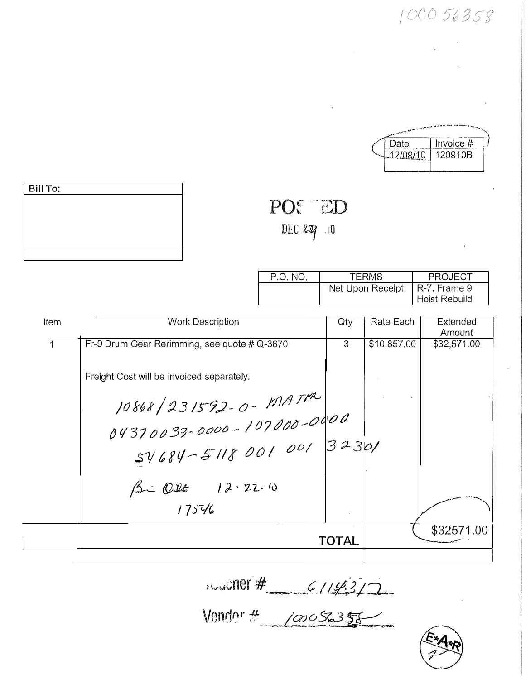$100056358$ 

| the party of the first development of the contract of the contract of |             |  |
|-----------------------------------------------------------------------|-------------|--|
| Date                                                                  | Invoice $#$ |  |
| 12/00/10                                                              | 120910B     |  |
|                                                                       |             |  |

| <b>Bill To:</b> |  |  |
|-----------------|--|--|
|                 |  |  |
|                 |  |  |
|                 |  |  |
|                 |  |  |
|                 |  |  |

| P.O. NO. | <b>TERMS</b>                    | PROJECT       |
|----------|---------------------------------|---------------|
|          | Net Upon Receipt   R-7, Frame 9 |               |
|          |                                 | Hoist Rebuild |

 $\mathcal{L}_{\mathcal{A}}$ 

POC ED

DEC  $227 - 10$ 

| Item         | <b>Work Description</b>                                          | Qty          | Rate Each   | Extended<br>Amount |
|--------------|------------------------------------------------------------------|--------------|-------------|--------------------|
| $\mathbf{1}$ | Fr-9 Drum Gear Rerimming, see quote # Q-3670                     | 3            | \$10,857.00 | \$32,571.00        |
|              | Freight Cost will be invoiced separately.                        |              |             |                    |
|              |                                                                  |              |             |                    |
|              | 10868   231592 - 0 - 1914 TM<br>0437 0033 - 0000 - 107000 - 0000 |              |             |                    |
|              | $54684 - 5118001001  32301$                                      |              |             |                    |
|              | 12.40                                                            |              |             |                    |
|              | 17546                                                            |              |             |                    |
|              |                                                                  | <b>TOTAL</b> |             | \$32571.00         |
|              |                                                                  |              |             |                    |

10001101# 6/143/2

Vendor # 10056357

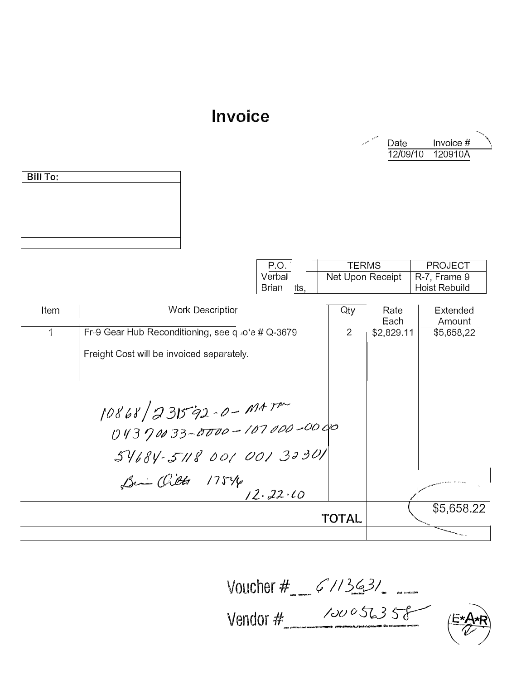## Invoice



|      |                                                   | P.O.                 | <b>TERMS</b>     |              | <b>PROJECT</b>     |
|------|---------------------------------------------------|----------------------|------------------|--------------|--------------------|
|      |                                                   | Verbal               | Net Upon Receipt |              | R-7, Frame 9       |
|      |                                                   | <b>Brian</b><br>Its, |                  |              | Hoist Rebuild      |
| Item | Work Descriptior                                  |                      | Qty              | Rate<br>Each | Extended<br>Amount |
| 1    | Fr-9 Gear Hub Reconditioning, see q Jo'e # Q-3679 |                      | 2                | \$2,829.11   | \$5,658,22         |
|      | Freight Cost will be invoiced separately.         |                      |                  |              |                    |
|      |                                                   |                      |                  |              |                    |
|      |                                                   |                      |                  |              |                    |
|      |                                                   |                      |                  |              |                    |
|      | 10868/231592-0-MATM                               |                      |                  |              |                    |
|      | 54684-5118 001 001 32301                          |                      |                  |              |                    |
|      | Bin Orlett 1754                                   |                      |                  |              |                    |
|      |                                                   | 12.22.10             |                  |              |                    |
|      |                                                   |                      | TOTAL            |              | \$5,658.22         |
|      |                                                   |                      |                  |              |                    |

Voucher #  $61/363/2$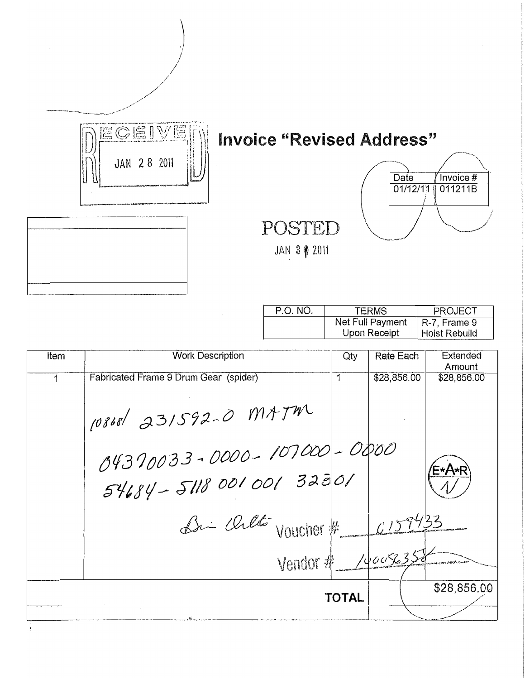

|                         |     | Net Full Payment<br>Upon Receipt | $\vert$ R-7, Frame 9<br><b>Hoist Rebuild</b> |  |
|-------------------------|-----|----------------------------------|----------------------------------------------|--|
| <b>Work Description</b> | Qty | Rate Each                        | Extended<br>Amount                           |  |
| $\sum_{i=1}^{n}$        |     | maa aha aa                       | 0.00000000                                   |  |

| Item | <b>Work Description</b>                                                       | Qty          | Rate Each   | Extended<br>Amount |
|------|-------------------------------------------------------------------------------|--------------|-------------|--------------------|
| 1    | Fabricated Frame 9 Drum Gear (spider)                                         | 1            | \$28,856.00 | \$28,856.00        |
|      | 10868 231592-0 MAJM<br>04370033-0000-107000-0000<br>$54684 - 511800100132801$ |              |             | F∗A∗R`             |
|      | Bri chet voucher #<br>Vendor # /vause352                                      |              | 6159433     |                    |
|      |                                                                               | <b>TOTAL</b> |             | \$28,856.00        |
|      |                                                                               |              |             |                    |
|      |                                                                               |              |             |                    |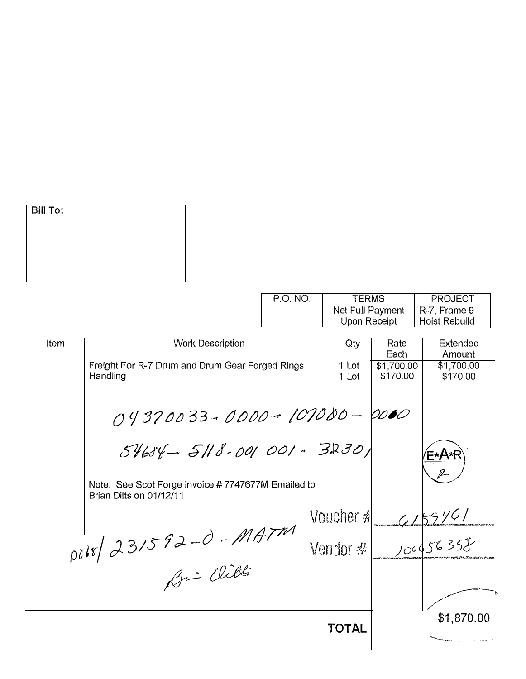| <b>Bill To:</b> |  |  |  |
|-----------------|--|--|--|
|                 |  |  |  |
|                 |  |  |  |
|                 |  |  |  |
|                 |  |  |  |
|                 |  |  |  |

| P.O. NO. | <b>TERMS</b>     | <b>PROJECT</b> |
|----------|------------------|----------------|
|          | Net Full Payment | R-7, Frame 9   |
|          | Upon Receipt     | Hoist Rebuild  |

| Item | <b>Work Description</b>                                                      | Qty            | Rate<br>Each           | Extended<br>Amount     |
|------|------------------------------------------------------------------------------|----------------|------------------------|------------------------|
|      | Freight For R-7 Drum and Drum Gear Forged Rings<br>Handling                  | 1 Lot<br>1 Lot | \$1,700.00<br>\$170.00 | \$1,700.00<br>\$170.00 |
|      | 04370033-0000-101080-0000                                                    |                |                        |                        |
|      | $54654 - 5118 - 001001 - 3230$                                               |                |                        | ′E∗A∗R`                |
|      | Note: See Scot Forge Invoice #7747677M Emailed to<br>Brian Dilts on 01/12/11 |                |                        |                        |
|      |                                                                              | Voucher #      |                        | 4159461                |
|      | $pdk/d31592-0-MATM$                                                          | Vendor $\#$    |                        | 100056357              |
|      | Bri Wilt                                                                     |                |                        |                        |
|      |                                                                              |                |                        | \$1,870.00             |
|      |                                                                              | TOTAL          |                        |                        |
|      |                                                                              |                |                        |                        |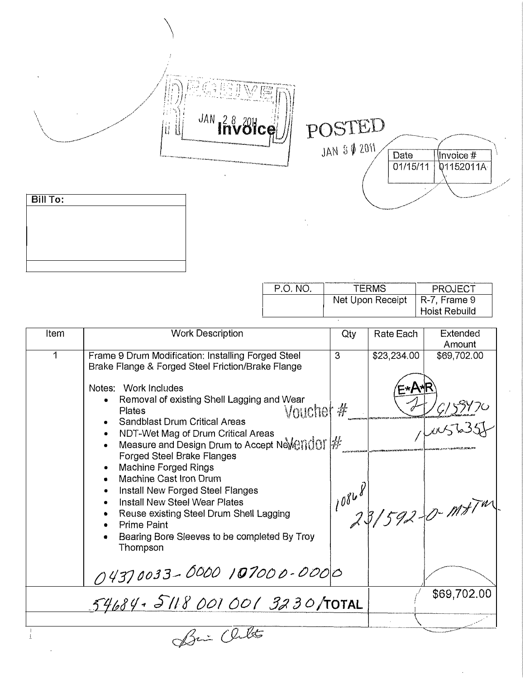POSTED



| Bill To: |  |  |  |
|----------|--|--|--|
|          |  |  |  |
|          |  |  |  |
|          |  |  |  |
|          |  |  |  |
|          |  |  |  |

Ý. 24 高非  $\partial \mathcal{G}$ 

JAN PRV81ce

| P.O. NO. | TFRMS            | PROJECT              |
|----------|------------------|----------------------|
|          | Net Upon Receipt | $\vert$ R-7, Frame 9 |
|          |                  | <b>Hoist Rebuild</b> |

| Item | <b>Work Description</b>                                                                                                                                                                                                                                                                                                                                                    | Qty | Rate Each            | Extended<br>Amount        |
|------|----------------------------------------------------------------------------------------------------------------------------------------------------------------------------------------------------------------------------------------------------------------------------------------------------------------------------------------------------------------------------|-----|----------------------|---------------------------|
| 1    | Frame 9 Drum Modification: Installing Forged Steel<br>Brake Flange & Forged Steel Friction/Brake Flange<br>Notes: Work Includes<br>Removal of existing Shell Lagging and Wear<br>Vouchet #<br>Plates<br><b>Sandblast Drum Critical Areas</b>                                                                                                                               | 3   | \$23,234.00<br>≍∗A*F | \$69,702.00               |
|      | NDT-Wet Mag of Drum Critical Areas<br>Measure and Design Drum to Accept NeVendor #<br>Forged Steel Brake Flanges<br>Machine Forged Rings<br>Machine Cast Iron Drum<br>$\bullet$<br>Install New Forged Steel Flanges<br>Install New Steel Wear Plates<br>Reuse existing Steel Drum Shell Lagging<br>Prime Paint<br>Bearing Bore Sleeves to be completed By Troy<br>Thompson |     |                      | $10868$<br>23/592-0-1117" |
|      | 04370033-0000 107000-0000                                                                                                                                                                                                                                                                                                                                                  |     |                      |                           |
|      | 54684.51180010013230/TOTAL                                                                                                                                                                                                                                                                                                                                                 |     |                      | \$69,702.00               |
|      |                                                                                                                                                                                                                                                                                                                                                                            |     |                      |                           |
|      | fri (litte                                                                                                                                                                                                                                                                                                                                                                 |     |                      |                           |